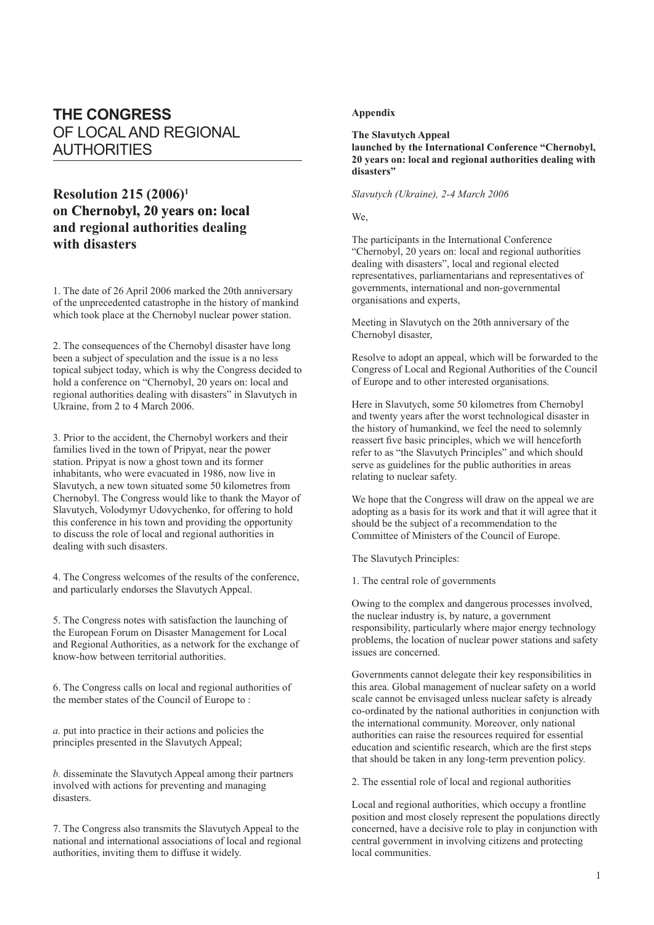## **THE CONGRESS** OF LOCAL AND REGIONAL AUTHORITIES

## **Resolution 215 (2006)1** on Chernobyl, 20 years on: local **and regional authorities dealing with disasters**

1. The date of 26 April 2006 marked the 20th anniversary of the unprecedented catastrophe in the history of mankind which took place at the Chernobyl nuclear power station.

2. The consequences of the Chernobyl disaster have long been a subject of speculation and the issue is a no less topical subject today, which is why the Congress decided to hold a conference on "Chernobyl, 20 years on: local and regional authorities dealing with disasters" in Slavutych in Ukraine, from 2 to 4 March 2006.

3. Prior to the accident, the Chernobyl workers and their families lived in the town of Pripyat, near the power station. Pripyat is now a ghost town and its former inhabitants, who were evacuated in 1986, now live in Slavutych, a new town situated some 50 kilometres from Chernobyl. The Congress would like to thank the Mayor of Slavutych, Volodymyr Udovychenko, for offering to hold this conference in his town and providing the opportunity to discuss the role of local and regional authorities in dealing with such disasters.

4. The Congress welcomes of the results of the conference, and particularly endorses the Slavutych Appeal.

5. The Congress notes with satisfaction the launching of the European Forum on Disaster Management for Local and Regional Authorities, as a network for the exchange of know-how between territorial authorities.

6. The Congress calls on local and regional authorities of the member states of the Council of Europe to :

*a.* put into practice in their actions and policies the principles presented in the Slavutych Appeal;

*b.* disseminate the Slavutych Appeal among their partners involved with actions for preventing and managing disasters.

7. The Congress also transmits the Slavutych Appeal to the national and international associations of local and regional authorities, inviting them to diffuse it widely.

## **Appendix**

**The Slavutych Appeal launched by the International Conference "Chernobyl, 20 years on: local and regional authorities dealing with disasters"**

## *Slavutych (Ukraine), 2-4 March 2006*

We,

The participants in the International Conference "Chernobyl, 20 years on: local and regional authorities dealing with disasters", local and regional elected representatives, parliamentarians and representatives of governments, international and non-governmental organisations and experts,

Meeting in Slavutych on the 20th anniversary of the Chernobyl disaster,

Resolve to adopt an appeal, which will be forwarded to the Congress of Local and Regional Authorities of the Council of Europe and to other interested organisations.

Here in Slavutych, some 50 kilometres from Chernobyl and twenty years after the worst technological disaster in the history of humankind, we feel the need to solemnly reassert five basic principles, which we will henceforth refer to as "the Slavutych Principles" and which should serve as guidelines for the public authorities in areas relating to nuclear safety.

We hope that the Congress will draw on the appeal we are adopting as a basis for its work and that it will agree that it should be the subject of a recommendation to the Committee of Ministers of the Council of Europe.

The Slavutych Principles:

1. The central role of governments

Owing to the complex and dangerous processes involved, the nuclear industry is, by nature, a government responsibility, particularly where major energy technology problems, the location of nuclear power stations and safety issues are concerned.

Governments cannot delegate their key responsibilities in this area. Global management of nuclear safety on a world scale cannot be envisaged unless nuclear safety is already co-ordinated by the national authorities in conjunction with the international community. Moreover, only national authorities can raise the resources required for essential education and scientific research, which are the first steps that should be taken in any long-term prevention policy.

2. The essential role of local and regional authorities

Local and regional authorities, which occupy a frontline position and most closely represent the populations directly concerned, have a decisive role to play in conjunction with central government in involving citizens and protecting local communities.